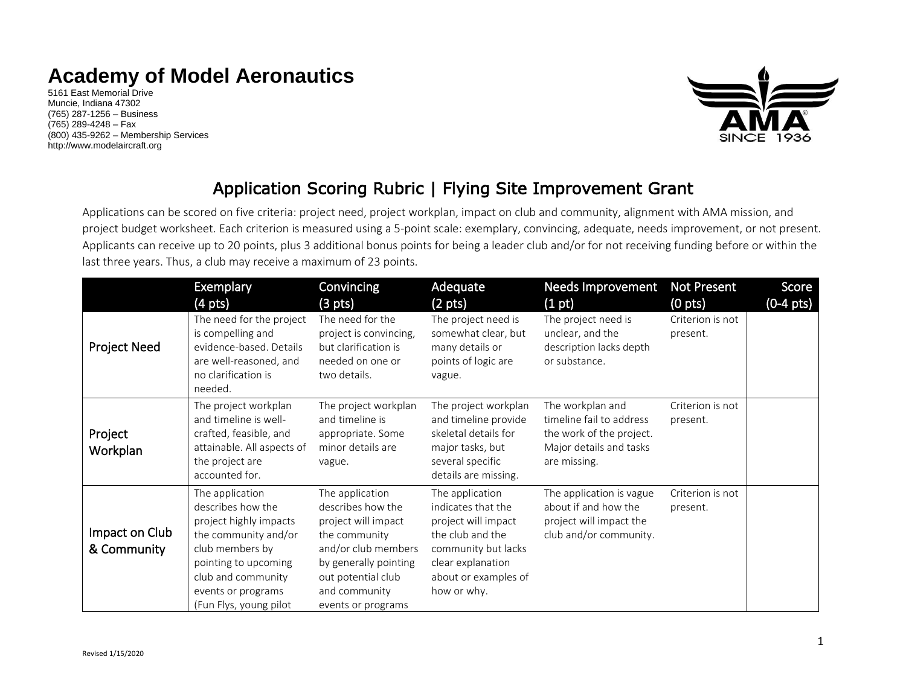## **Academy of Model Aeronautics**

5161 East Memorial Drive Muncie, Indiana 47302 (765) 287-1256 – Business (765) 289-4248 – Fax (800) 435-9262 – Membership Services http://www.modelaircraft.org



## Application Scoring Rubric | Flying Site Improvement Grant

Applications can be scored on five criteria: project need, project workplan, impact on club and community, alignment with AMA mission, and project budget worksheet. Each criterion is measured using a 5-point scale: exemplary, convincing, adequate, needs improvement, or not present. Applicants can receive up to 20 points, plus 3 additional bonus points for being a leader club and/or for not receiving funding before or within the last three years. Thus, a club may receive a maximum of 23 points.

|                               | <b>Exemplary</b>                                                                                                                                                                                        | Convincing                                                                                                                                                                                | Adequate                                                                                                                                                            | Needs Improvement                                                                                                   | <b>Not Present</b>           | Score     |
|-------------------------------|---------------------------------------------------------------------------------------------------------------------------------------------------------------------------------------------------------|-------------------------------------------------------------------------------------------------------------------------------------------------------------------------------------------|---------------------------------------------------------------------------------------------------------------------------------------------------------------------|---------------------------------------------------------------------------------------------------------------------|------------------------------|-----------|
|                               | $(4 \text{ pts})$                                                                                                                                                                                       | $(3 \text{ pts})$                                                                                                                                                                         | (2 pts)                                                                                                                                                             | (1 pt)                                                                                                              | $(0$ pts $)$                 | (0-4 pts) |
| <b>Project Need</b>           | The need for the project<br>is compelling and<br>evidence-based. Details<br>are well-reasoned, and<br>no clarification is<br>needed.                                                                    | The need for the<br>project is convincing,<br>but clarification is<br>needed on one or<br>two details.                                                                                    | The project need is<br>somewhat clear, but<br>many details or<br>points of logic are<br>vague.                                                                      | The project need is<br>unclear, and the<br>description lacks depth<br>or substance.                                 | Criterion is not<br>present. |           |
| Project<br>Workplan           | The project workplan<br>and timeline is well-<br>crafted, feasible, and<br>attainable. All aspects of<br>the project are<br>accounted for.                                                              | The project workplan<br>and timeline is<br>appropriate. Some<br>minor details are<br>vague.                                                                                               | The project workplan<br>and timeline provide<br>skeletal details for<br>major tasks, but<br>several specific<br>details are missing.                                | The workplan and<br>timeline fail to address<br>the work of the project.<br>Major details and tasks<br>are missing. | Criterion is not<br>present. |           |
| Impact on Club<br>& Community | The application<br>describes how the<br>project highly impacts<br>the community and/or<br>club members by<br>pointing to upcoming<br>club and community<br>events or programs<br>(Fun Flys, young pilot | The application<br>describes how the<br>project will impact<br>the community<br>and/or club members<br>by generally pointing<br>out potential club<br>and community<br>events or programs | The application<br>indicates that the<br>project will impact<br>the club and the<br>community but lacks<br>clear explanation<br>about or examples of<br>how or why. | The application is vague<br>about if and how the<br>project will impact the<br>club and/or community.               | Criterion is not<br>present. |           |